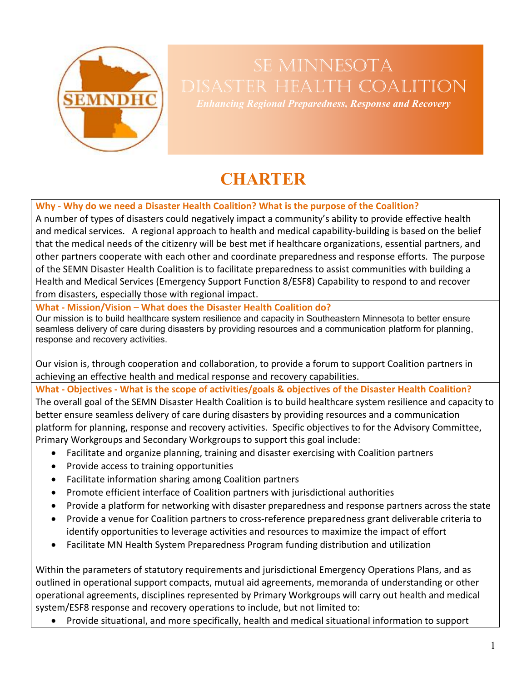

# SE MINNESOTA Disaster Health Coalition

*Enhancing Regional Preparedness, Response and Recovery*

## **CHARTER**

**Why - Why do we need a Disaster Health Coalition? What is the purpose of the Coalition?**

A number of types of disasters could negatively impact a community's ability to provide effective health and medical services. A regional approach to health and medical capability-building is based on the belief that the medical needs of the citizenry will be best met if healthcare organizations, essential partners, and other partners cooperate with each other and coordinate preparedness and response efforts. The purpose of the SEMN Disaster Health Coalition is to facilitate preparedness to assist communities with building a Health and Medical Services (Emergency Support Function 8/ESF8) Capability to respond to and recover from disasters, especially those with regional impact.

**What - Mission/Vision – What does the Disaster Health Coalition do?**

Our mission is to build healthcare system resilience and capacity in Southeastern Minnesota to better ensure seamless delivery of care during disasters by providing resources and a communication platform for planning, response and recovery activities.

Our vision is, through cooperation and collaboration, to provide a forum to support Coalition partners in achieving an effective health and medical response and recovery capabilities.

**What - Objectives - What is the scope of activities/goals & objectives of the Disaster Health Coalition?**

The overall goal of the SEMN Disaster Health Coalition is to build healthcare system resilience and capacity to better ensure seamless delivery of care during disasters by providing resources and a communication platform for planning, response and recovery activities. Specific objectives to for the Advisory Committee, Primary Workgroups and Secondary Workgroups to support this goal include:

- Facilitate and organize planning, training and disaster exercising with Coalition partners
- Provide access to training opportunities
- Facilitate information sharing among Coalition partners
- Promote efficient interface of Coalition partners with jurisdictional authorities
- Provide a platform for networking with disaster preparedness and response partners across the state
- Provide a venue for Coalition partners to cross-reference preparedness grant deliverable criteria to identify opportunities to leverage activities and resources to maximize the impact of effort
- Facilitate MN Health System Preparedness Program funding distribution and utilization

Within the parameters of statutory requirements and jurisdictional Emergency Operations Plans, and as outlined in operational support compacts, mutual aid agreements, memoranda of understanding or other operational agreements, disciplines represented by Primary Workgroups will carry out health and medical system/ESF8 response and recovery operations to include, but not limited to:

• Provide situational, and more specifically, health and medical situational information to support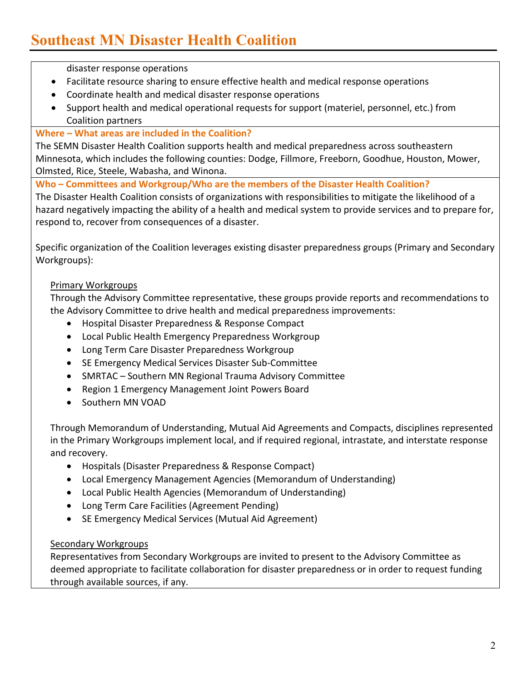disaster response operations

- Facilitate resource sharing to ensure effective health and medical response operations
- Coordinate health and medical disaster response operations
- Support health and medical operational requests for support (materiel, personnel, etc.) from Coalition partners

#### **Where – What areas are included in the Coalition?**

The SEMN Disaster Health Coalition supports health and medical preparedness across southeastern Minnesota, which includes the following counties: Dodge, Fillmore, Freeborn, Goodhue, Houston, Mower, Olmsted, Rice, Steele, Wabasha, and Winona.

**Who – Committees and Workgroup/Who are the members of the Disaster Health Coalition?**

The Disaster Health Coalition consists of organizations with responsibilities to mitigate the likelihood of a hazard negatively impacting the ability of a health and medical system to provide services and to prepare for, respond to, recover from consequences of a disaster.

Specific organization of the Coalition leverages existing disaster preparedness groups (Primary and Secondary Workgroups):

#### Primary Workgroups

Through the Advisory Committee representative, these groups provide reports and recommendations to the Advisory Committee to drive health and medical preparedness improvements:

- Hospital Disaster Preparedness & Response Compact
- Local Public Health Emergency Preparedness Workgroup
- Long Term Care Disaster Preparedness Workgroup
- SE Emergency Medical Services Disaster Sub-Committee
- SMRTAC Southern MN Regional Trauma Advisory Committee
- Region 1 Emergency Management Joint Powers Board
- Southern MN VOAD

Through Memorandum of Understanding, Mutual Aid Agreements and Compacts, disciplines represented in the Primary Workgroups implement local, and if required regional, intrastate, and interstate response and recovery.

- Hospitals (Disaster Preparedness & Response Compact)
- Local Emergency Management Agencies (Memorandum of Understanding)
- Local Public Health Agencies (Memorandum of Understanding)
- Long Term Care Facilities (Agreement Pending)
- SE Emergency Medical Services (Mutual Aid Agreement)

#### Secondary Workgroups

Representatives from Secondary Workgroups are invited to present to the Advisory Committee as deemed appropriate to facilitate collaboration for disaster preparedness or in order to request funding through available sources, if any.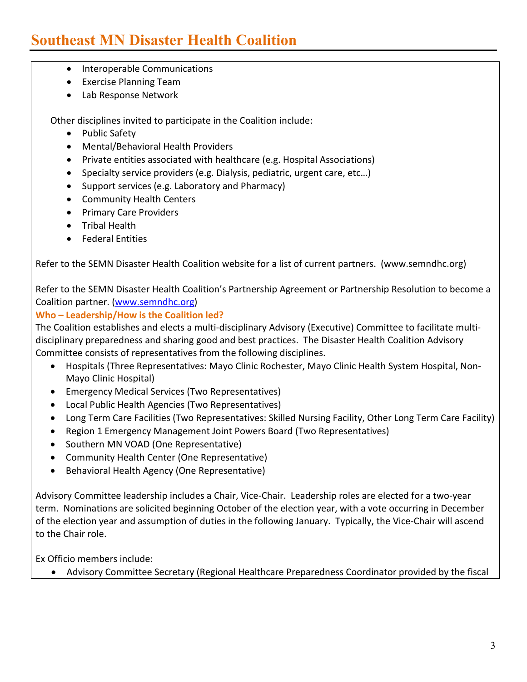### **Southeast MN Disaster Health Coalition**

- Interoperable Communications
- Exercise Planning Team
- Lab Response Network

Other disciplines invited to participate in the Coalition include:

- Public Safety
- Mental/Behavioral Health Providers
- Private entities associated with healthcare (e.g. Hospital Associations)
- Specialty service providers (e.g. Dialysis, pediatric, urgent care, etc…)
- Support services (e.g. Laboratory and Pharmacy)
- Community Health Centers
- Primary Care Providers
- Tribal Health
- Federal Entities

Refer to the SEMN Disaster Health Coalition website for a list of current partners. (www.semndhc.org)

Refer to the SEMN Disaster Health Coalition's Partnership Agreement or Partnership Resolution to become a Coalition partner. [\(www.semndhc.org\)](http://www.semndhc.org/)

#### **Who – Leadership/How is the Coalition led?**

The Coalition establishes and elects a multi-disciplinary Advisory (Executive) Committee to facilitate multidisciplinary preparedness and sharing good and best practices. The Disaster Health Coalition Advisory Committee consists of representatives from the following disciplines.

- Hospitals (Three Representatives: Mayo Clinic Rochester, Mayo Clinic Health System Hospital, Non-Mayo Clinic Hospital)
- Emergency Medical Services (Two Representatives)
- Local Public Health Agencies (Two Representatives)
- Long Term Care Facilities (Two Representatives: Skilled Nursing Facility, Other Long Term Care Facility)
- Region 1 Emergency Management Joint Powers Board (Two Representatives)
- Southern MN VOAD (One Representative)
- Community Health Center (One Representative)
- Behavioral Health Agency (One Representative)

Advisory Committee leadership includes a Chair, Vice-Chair. Leadership roles are elected for a two-year term. Nominations are solicited beginning October of the election year, with a vote occurring in December of the election year and assumption of duties in the following January. Typically, the Vice-Chair will ascend to the Chair role.

Ex Officio members include:

• Advisory Committee Secretary (Regional Healthcare Preparedness Coordinator provided by the fiscal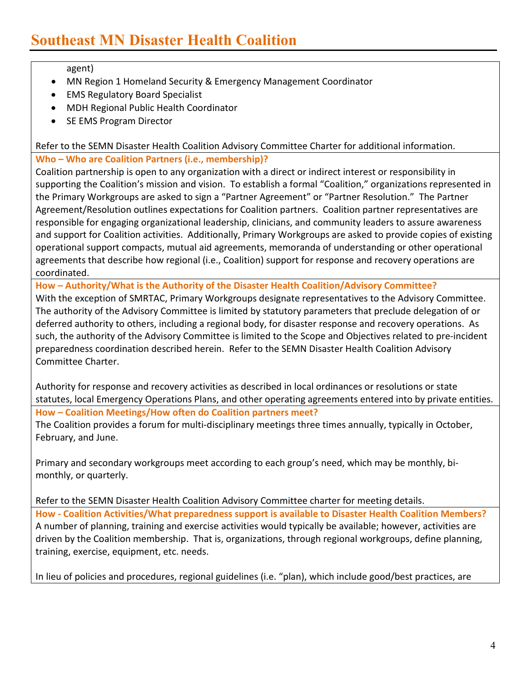#### agent)

- MN Region 1 Homeland Security & Emergency Management Coordinator
- EMS Regulatory Board Specialist
- MDH Regional Public Health Coordinator
- SE EMS Program Director

Refer to the SEMN Disaster Health Coalition Advisory Committee Charter for additional information.

#### **Who – Who are Coalition Partners (i.e., membership)?**

Coalition partnership is open to any organization with a direct or indirect interest or responsibility in supporting the Coalition's mission and vision. To establish a formal "Coalition," organizations represented in the Primary Workgroups are asked to sign a "Partner Agreement" or "Partner Resolution." The Partner Agreement/Resolution outlines expectations for Coalition partners. Coalition partner representatives are responsible for engaging organizational leadership, clinicians, and community leaders to assure awareness and support for Coalition activities. Additionally, Primary Workgroups are asked to provide copies of existing operational support compacts, mutual aid agreements, memoranda of understanding or other operational agreements that describe how regional (i.e., Coalition) support for response and recovery operations are coordinated.

**How – Authority/What is the Authority of the Disaster Health Coalition/Advisory Committee?** With the exception of SMRTAC, Primary Workgroups designate representatives to the Advisory Committee. The authority of the Advisory Committee is limited by statutory parameters that preclude delegation of or deferred authority to others, including a regional body, for disaster response and recovery operations. As such, the authority of the Advisory Committee is limited to the Scope and Objectives related to pre-incident preparedness coordination described herein. Refer to the SEMN Disaster Health Coalition Advisory Committee Charter.

Authority for response and recovery activities as described in local ordinances or resolutions or state statutes, local Emergency Operations Plans, and other operating agreements entered into by private entities. **How – Coalition Meetings/How often do Coalition partners meet?**

The Coalition provides a forum for multi-disciplinary meetings three times annually, typically in October, February, and June.

Primary and secondary workgroups meet according to each group's need, which may be monthly, bimonthly, or quarterly.

Refer to the SEMN Disaster Health Coalition Advisory Committee charter for meeting details.

**How - Coalition Activities/What preparedness support is available to Disaster Health Coalition Members?** A number of planning, training and exercise activities would typically be available; however, activities are driven by the Coalition membership. That is, organizations, through regional workgroups, define planning, training, exercise, equipment, etc. needs.

In lieu of policies and procedures, regional guidelines (i.e. "plan), which include good/best practices, are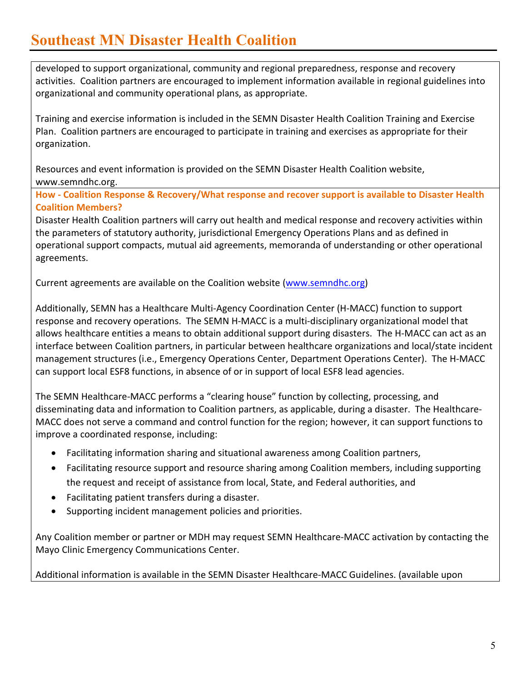### **Southeast MN Disaster Health Coalition**

developed to support organizational, community and regional preparedness, response and recovery activities. Coalition partners are encouraged to implement information available in regional guidelines into organizational and community operational plans, as appropriate.

Training and exercise information is included in the SEMN Disaster Health Coalition Training and Exercise Plan. Coalition partners are encouraged to participate in training and exercises as appropriate for their organization.

Resources and event information is provided on the SEMN Disaster Health Coalition website, www.semndhc.org.

**How - Coalition Response & Recovery/What response and recover support is available to Disaster Health Coalition Members?**

Disaster Health Coalition partners will carry out health and medical response and recovery activities within the parameters of statutory authority, jurisdictional Emergency Operations Plans and as defined in operational support compacts, mutual aid agreements, memoranda of understanding or other operational agreements.

Current agreements are available on the Coalition website [\(www.semndhc.org\)](http://www.semndhc.org/)

Additionally, SEMN has a Healthcare Multi-Agency Coordination Center (H-MACC) function to support response and recovery operations. The SEMN H-MACC is a multi-disciplinary organizational model that allows healthcare entities a means to obtain additional support during disasters. The H-MACC can act as an interface between Coalition partners, in particular between healthcare organizations and local/state incident management structures (i.e., Emergency Operations Center, Department Operations Center). The H-MACC can support local ESF8 functions, in absence of or in support of local ESF8 lead agencies.

The SEMN Healthcare-MACC performs a "clearing house" function by collecting, processing, and disseminating data and information to Coalition partners, as applicable, during a disaster. The Healthcare-MACC does not serve a command and control function for the region; however, it can support functions to improve a coordinated response, including:

- Facilitating information sharing and situational awareness among Coalition partners,
- Facilitating resource support and resource sharing among Coalition members, including supporting the request and receipt of assistance from local, State, and Federal authorities, and
- Facilitating patient transfers during a disaster.
- Supporting incident management policies and priorities.

Any Coalition member or partner or MDH may request SEMN Healthcare-MACC activation by contacting the Mayo Clinic Emergency Communications Center.

Additional information is available in the SEMN Disaster Healthcare-MACC Guidelines. (available upon